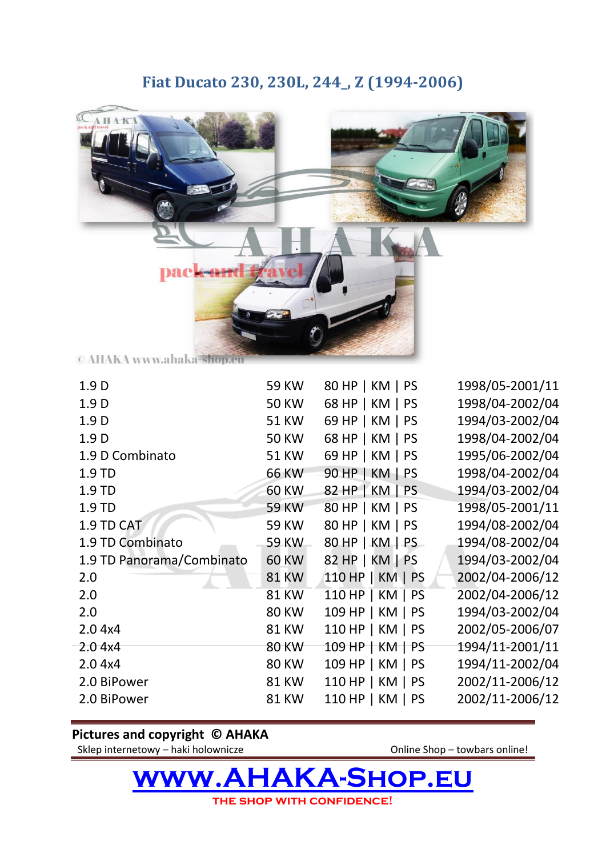## **Fiat Ducato 230, 230L, 244\_, Z (1994-2006)**



C AHAKA www.ahaka-shop.eu

| 1.9 <sub>D</sub>          | <b>59 KW</b> | 80 HP   KM   PS  | 1998/05-2001/11 |
|---------------------------|--------------|------------------|-----------------|
| 1.9 D                     | <b>50 KW</b> | 68 HP   KM   PS  | 1998/04-2002/04 |
| 1.9 D                     | <b>51 KW</b> | 69 HP   KM   PS  | 1994/03-2002/04 |
| 1.9 <sub>D</sub>          | <b>50 KW</b> | 68 HP   KM   PS  | 1998/04-2002/04 |
| 1.9 D Combinato           | <b>51 KW</b> | 69 HP   KM   PS  | 1995/06-2002/04 |
| 1.9 TD                    | <b>66 KW</b> | 90 HP   KM   PS  | 1998/04-2002/04 |
| 1.9 TD                    | <b>60 KW</b> | 82 HP   KM   PS  | 1994/03-2002/04 |
| 1.9 TD                    | <b>59 KW</b> | 80 HP   KM   PS  | 1998/05-2001/11 |
| 1.9 TD CAT                | <b>59 KW</b> | 80 HP   KM   PS  | 1994/08-2002/04 |
| 1.9 TD Combinato          | <b>59 KW</b> | 80 HP   KM   PS  | 1994/08-2002/04 |
| 1.9 TD Panorama/Combinato | <b>60 KW</b> | 82 HP   KM   PS  | 1994/03-2002/04 |
| 2.0                       | <b>81 KW</b> | 110 HP   KM   PS | 2002/04-2006/12 |
| 2.0                       | <b>81 KW</b> | 110 HP   KM   PS | 2002/04-2006/12 |
| 2.0                       | <b>80 KW</b> | 109 HP   KM   PS | 1994/03-2002/04 |
| 2.04x4                    | <b>81 KW</b> | 110 HP   KM   PS | 2002/05-2006/07 |
| 2.04x4                    | <b>80 KW</b> | 109 HP   KM   PS | 1994/11-2001/11 |
| 2.04x4                    | <b>80 KW</b> | 109 HP   KM   PS | 1994/11-2002/04 |
| 2.0 BiPower               | <b>81 KW</b> | 110 HP   KM   PS | 2002/11-2006/12 |
| 2.0 BiPower               | <b>81 KW</b> | 110 HP   KM   PS | 2002/11-2006/12 |
|                           |              |                  |                 |

## **Pictures and copyright © AHAKA**

Sklep internetowy – haki holownicze **Online Shop – towbars online!** 

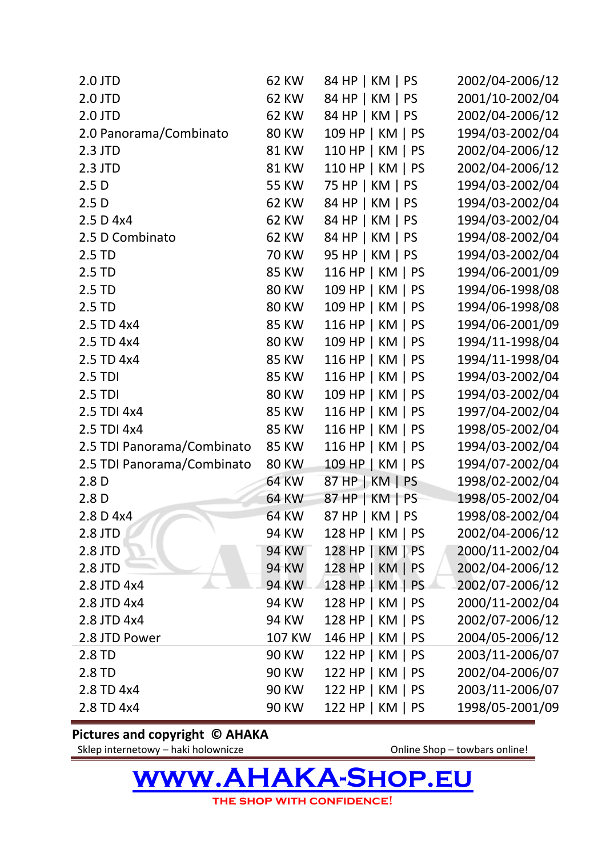| 2.0 JTD                    | 62 KW         | 84 HP   KM   PS  | 2002/04-2006/12 |
|----------------------------|---------------|------------------|-----------------|
| 2.0 JTD                    | <b>62 KW</b>  | 84 HP   KM   PS  | 2001/10-2002/04 |
| 2.0 JTD                    | 62 KW         | 84 HP   KM   PS  | 2002/04-2006/12 |
| 2.0 Panorama/Combinato     | <b>80 KW</b>  | 109 HP   KM   PS | 1994/03-2002/04 |
| $2.3$ JTD                  | <b>81 KW</b>  | 110 HP   KM   PS | 2002/04-2006/12 |
| $2.3$ JTD                  | <b>81 KW</b>  | 110 HP   KM   PS | 2002/04-2006/12 |
| 2.5 <sub>D</sub>           | <b>55 KW</b>  | 75 HP   KM   PS  | 1994/03-2002/04 |
| 2.5 <sub>D</sub>           | <b>62 KW</b>  | 84 HP   KM   PS  | 1994/03-2002/04 |
| 2.5 D 4x4                  | 62 KW         | 84 HP   KM   PS  | 1994/03-2002/04 |
| 2.5 D Combinato            | 62 KW         | 84 HP   KM   PS  | 1994/08-2002/04 |
| 2.5 TD                     | <b>70 KW</b>  | 95 HP   KM   PS  | 1994/03-2002/04 |
| 2.5 TD                     | <b>85 KW</b>  | 116 HP   KM   PS | 1994/06-2001/09 |
| 2.5 TD                     | <b>80 KW</b>  | 109 HP   KM   PS | 1994/06-1998/08 |
| 2.5 TD                     | <b>80 KW</b>  | 109 HP   KM   PS | 1994/06-1998/08 |
| 2.5 TD 4x4                 | <b>85 KW</b>  | 116 HP   KM   PS | 1994/06-2001/09 |
| 2.5 TD 4x4                 | <b>80 KW</b>  | 109 HP   KM   PS | 1994/11-1998/04 |
| 2.5 TD 4x4                 | <b>85 KW</b>  | 116 HP   KM   PS | 1994/11-1998/04 |
| 2.5 TDI                    | <b>85 KW</b>  | 116 HP   KM   PS | 1994/03-2002/04 |
| 2.5 TDI                    | <b>80 KW</b>  | 109 HP   KM   PS | 1994/03-2002/04 |
| 2.5 TDI 4x4                | <b>85 KW</b>  | 116 HP   KM   PS | 1997/04-2002/04 |
| 2.5 TDI 4x4                | <b>85 KW</b>  | 116 HP   KM   PS | 1998/05-2002/04 |
| 2.5 TDI Panorama/Combinato | <b>85 KW</b>  | 116 HP   KM   PS | 1994/03-2002/04 |
| 2.5 TDI Panorama/Combinato | <b>80 KW</b>  | 109 HP   KM   PS | 1994/07-2002/04 |
| 2.8 <sub>D</sub>           | <b>64 KW</b>  | 87 HP   KM   PS  | 1998/02-2002/04 |
| 2.8 <sub>D</sub>           | 64 KW         | 87 HP   KM   PS  | 1998/05-2002/04 |
| 2.8 D 4x4                  | <b>64 KW</b>  | 87 HP   KM   PS  | 1998/08-2002/04 |
| 2.8 JTD                    | 94 KW         | 128 HP   KM   PS | 2002/04-2006/12 |
| 2.8 JTD                    | <b>94 KW</b>  | 128 HP   KM   PS | 2000/11-2002/04 |
| 2.8 JTD                    | 94 KW         | 128 HP   KM   PS | 2002/04-2006/12 |
| 2.8 JTD 4x4                | 94 KW         | 128 HP   KM   PS | 2002/07-2006/12 |
| 2.8 JTD 4x4                | 94 KW         | 128 HP   KM   PS | 2000/11-2002/04 |
| 2.8 JTD 4x4                | 94 KW         | 128 HP   KM   PS | 2002/07-2006/12 |
| 2.8 JTD Power              | <b>107 KW</b> | 146 HP   KM   PS | 2004/05-2006/12 |
| 2.8 TD                     | <b>90 KW</b>  | 122 HP   KM   PS | 2003/11-2006/07 |
| 2.8 TD                     | <b>90 KW</b>  | 122 HP   KM   PS | 2002/04-2006/07 |
| 2.8 TD 4x4                 | <b>90 KW</b>  | 122 HP   KM   PS | 2003/11-2006/07 |
| 2.8 TD 4x4                 | <b>90 KW</b>  | 122 HP   KM   PS | 1998/05-2001/09 |

**Pictures and copyright © AHAKA**

Sklep internetowy – haki holownicze **Online Shop – towbars online!**